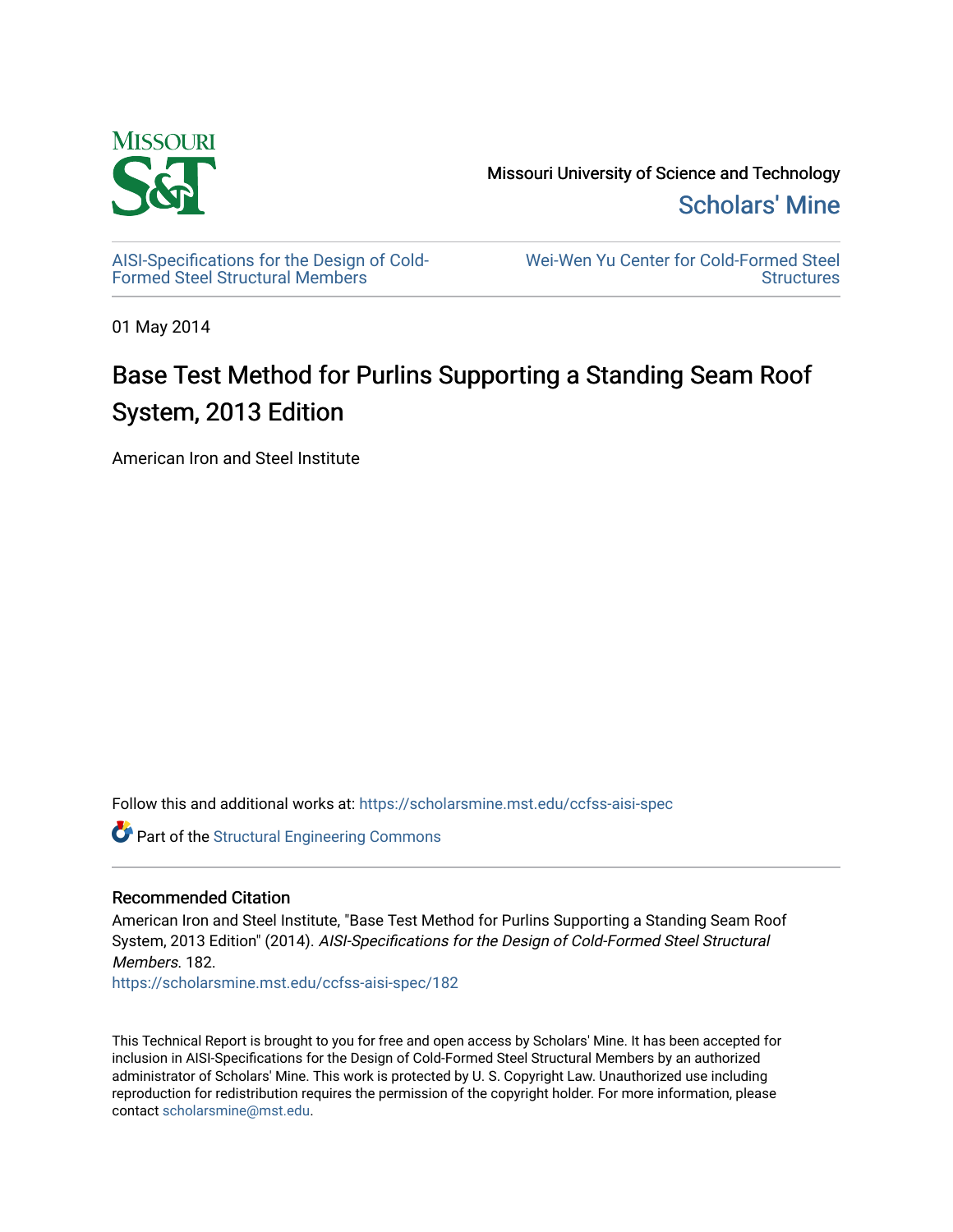

[AISI-Specifications for the Design of Cold-](https://scholarsmine.mst.edu/ccfss-aisi-spec)[Formed Steel Structural Members](https://scholarsmine.mst.edu/ccfss-aisi-spec)

[Wei-Wen Yu Center for Cold-Formed Steel](https://scholarsmine.mst.edu/ccfss)  **Structures** 

01 May 2014

## Base Test Method for Purlins Supporting a Standing Seam Roof System, 2013 Edition

American Iron and Steel Institute

Follow this and additional works at: [https://scholarsmine.mst.edu/ccfss-aisi-spec](https://scholarsmine.mst.edu/ccfss-aisi-spec?utm_source=scholarsmine.mst.edu%2Fccfss-aisi-spec%2F182&utm_medium=PDF&utm_campaign=PDFCoverPages) 

**Part of the Structural Engineering Commons** 

#### Recommended Citation

American Iron and Steel Institute, "Base Test Method for Purlins Supporting a Standing Seam Roof System, 2013 Edition" (2014). AISI-Specifications for the Design of Cold-Formed Steel Structural Members. 182.

[https://scholarsmine.mst.edu/ccfss-aisi-spec/182](https://scholarsmine.mst.edu/ccfss-aisi-spec/182?utm_source=scholarsmine.mst.edu%2Fccfss-aisi-spec%2F182&utm_medium=PDF&utm_campaign=PDFCoverPages) 

This Technical Report is brought to you for free and open access by Scholars' Mine. It has been accepted for inclusion in AISI-Specifications for the Design of Cold-Formed Steel Structural Members by an authorized administrator of Scholars' Mine. This work is protected by U. S. Copyright Law. Unauthorized use including reproduction for redistribution requires the permission of the copyright holder. For more information, please contact [scholarsmine@mst.edu](mailto:scholarsmine@mst.edu).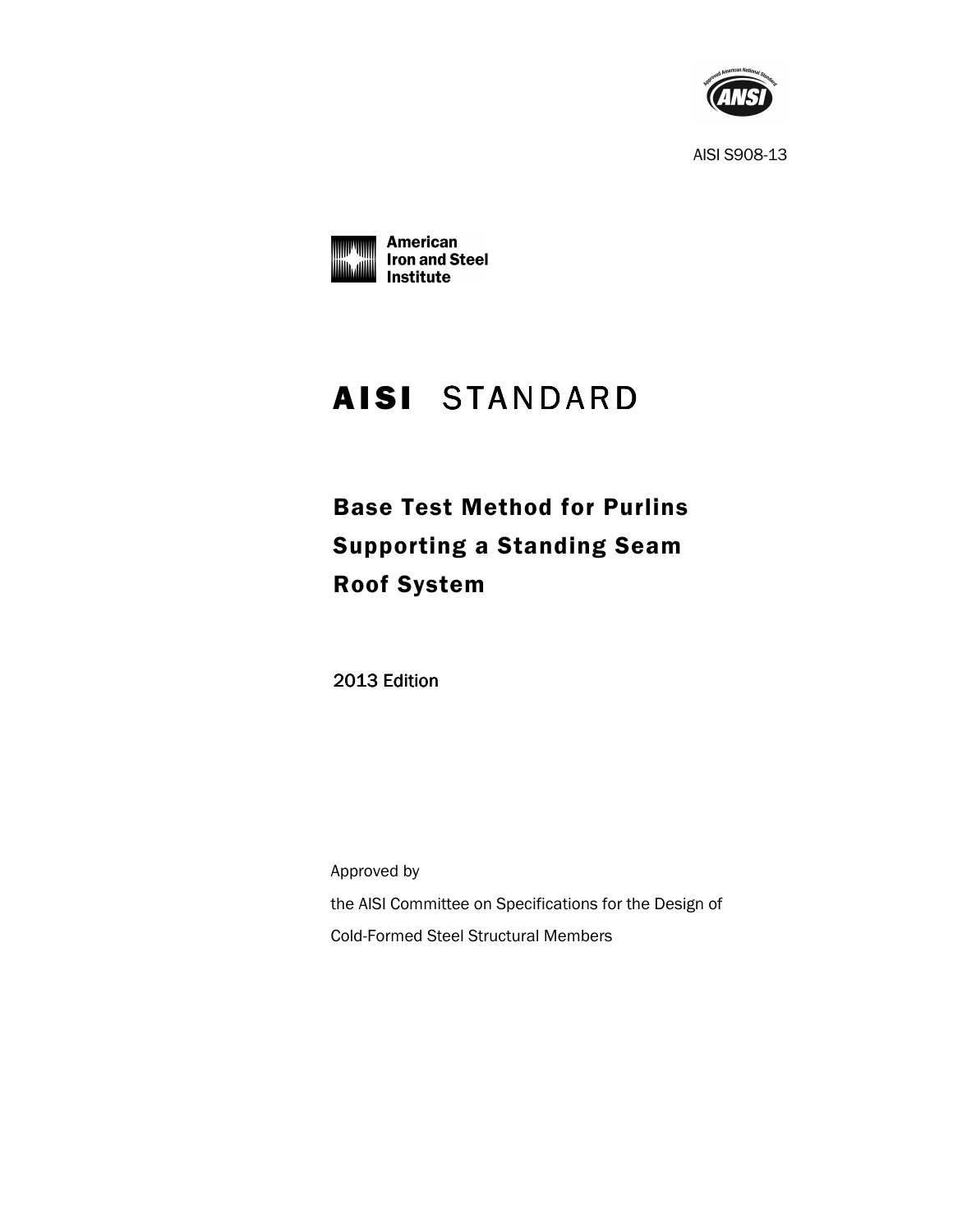

AISI S908-13



# AISI STANDARD

## Base Test Method for Purlins Supporting a Standing Seam Roof System

2013Edition

Approved by the AISI Committee on Specifications for the Design of Cold-Formed Steel Structural Members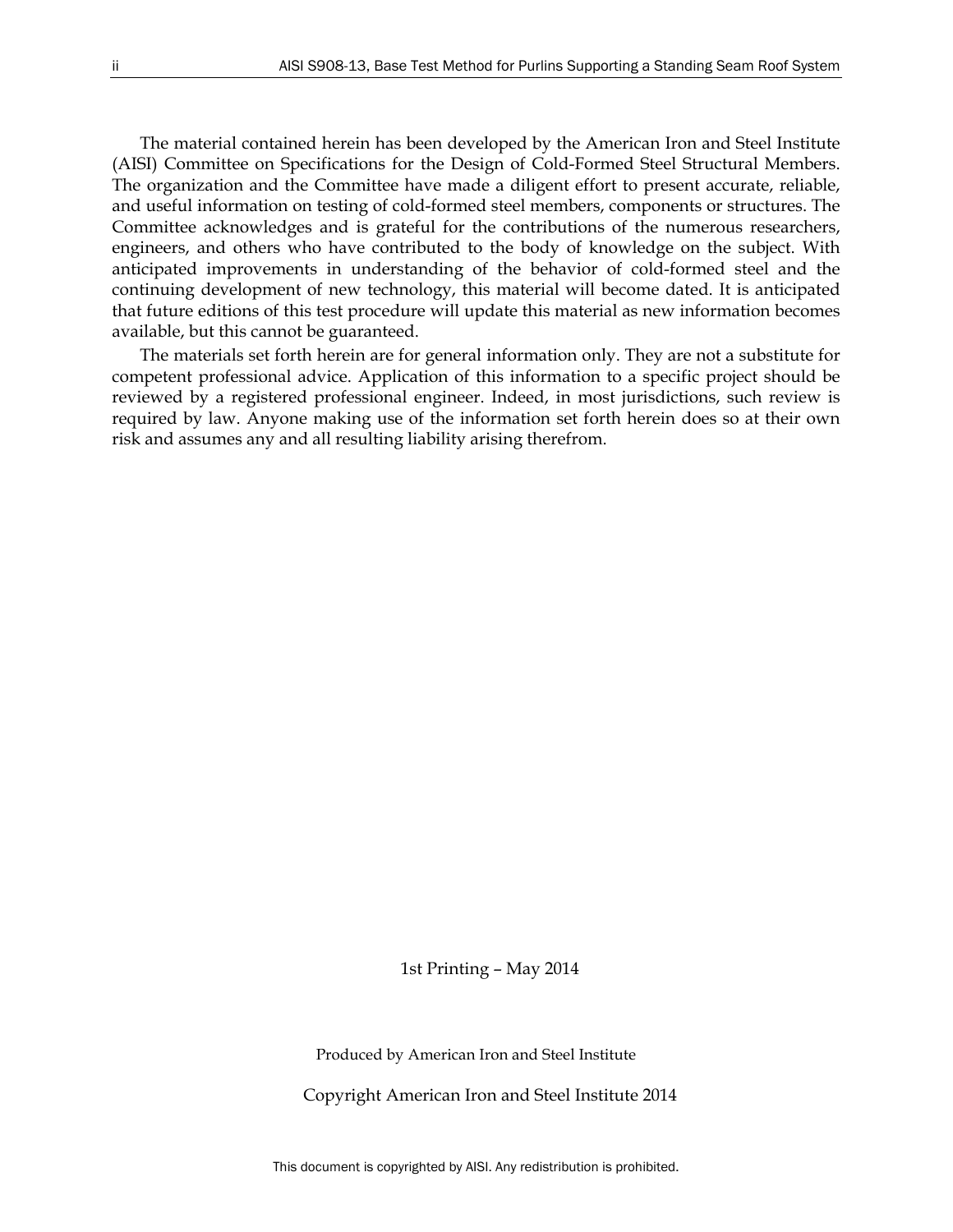The material contained herein has been developed by the American Iron and Steel Institute (AISI) Committee on Specifications for the Design of Cold-Formed Steel Structural Members. The organization and the Committee have made a diligent effort to present accurate, reliable, and useful information on testing of cold-formed steel members, components or structures. The Committee acknowledges and is grateful for the contributions of the numerous researchers, engineers, and others who have contributed to the body of knowledge on the subject. With anticipated improvements in understanding of the behavior of cold-formed steel and the continuing development of new technology, this material will become dated. It is anticipated that future editions of this test procedure will update this material as new information becomes available, but this cannot be guaranteed.

The materials set forth herein are for general information only. They are not a substitute for competent professional advice. Application of this information to a specific project should be reviewed by a registered professional engineer. Indeed, in most jurisdictions, such review is required by law. Anyone making use of the information set forth herein does so at their own risk and assumes any and all resulting liability arising therefrom.

1st Printing – May 2014

Produced by American Iron and Steel Institute

Copyright American Iron and Steel Institute 2014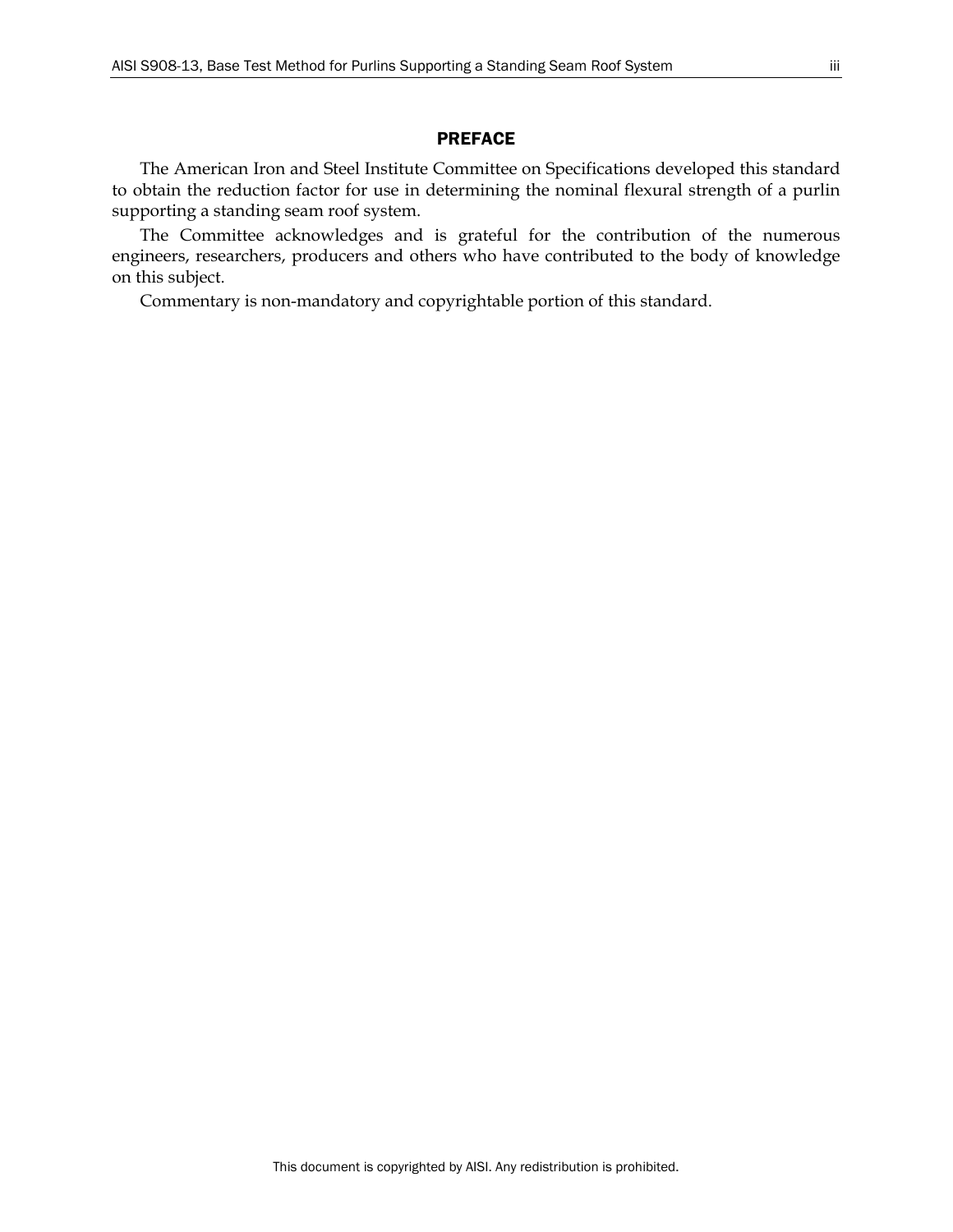The American Iron and Steel Institute Committee on Specifications developed this standard to obtain the reduction factor for use in determining the nominal flexural strength of a purlin supporting a standing seam roof system.

The Committee acknowledges and is grateful for the contribution of the numerous engineers, researchers, producers and others who have contributed to the body of knowledge on this subject.

Commentary is non-mandatory and copyrightable portion of this standard.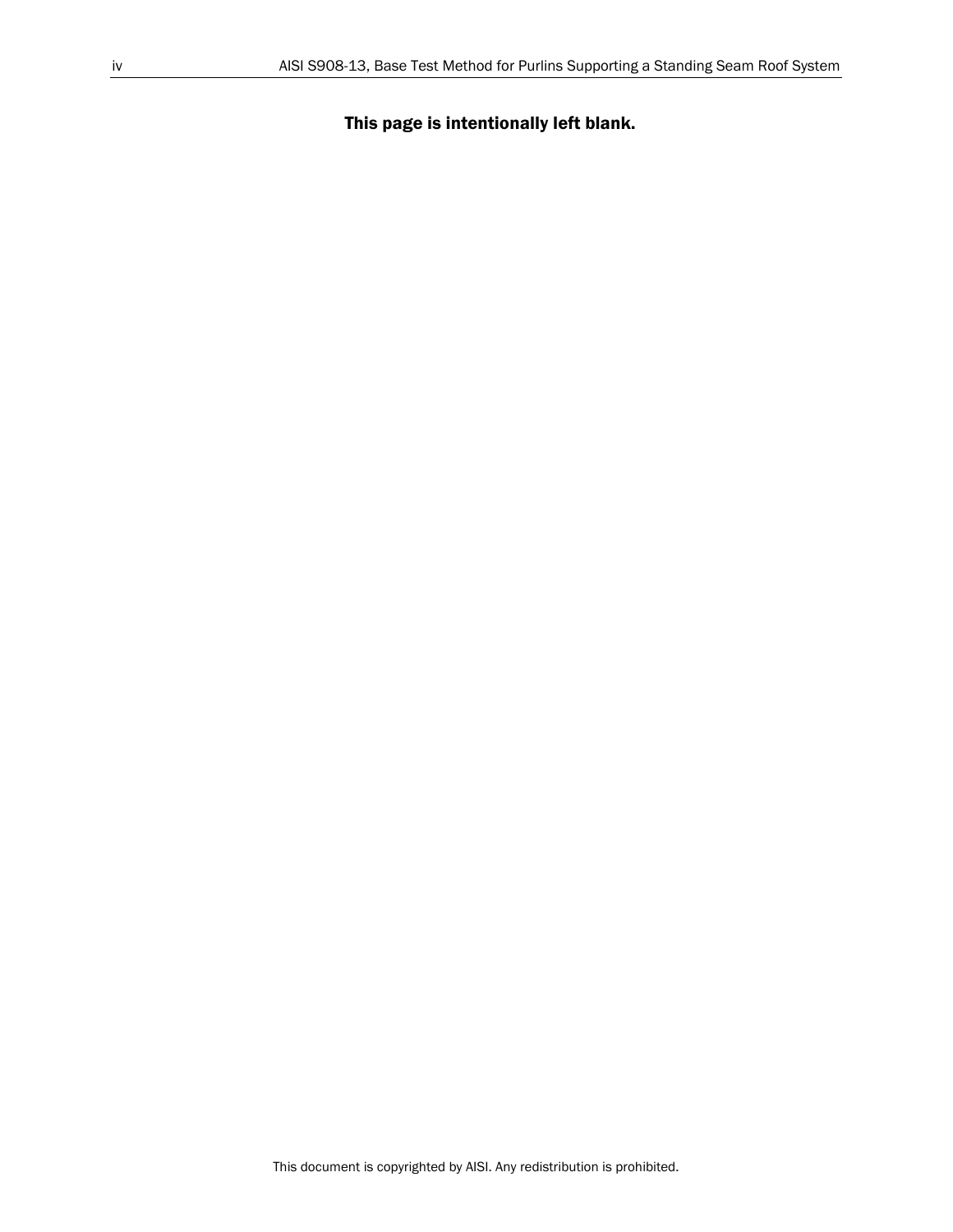This page is intentionally left blank.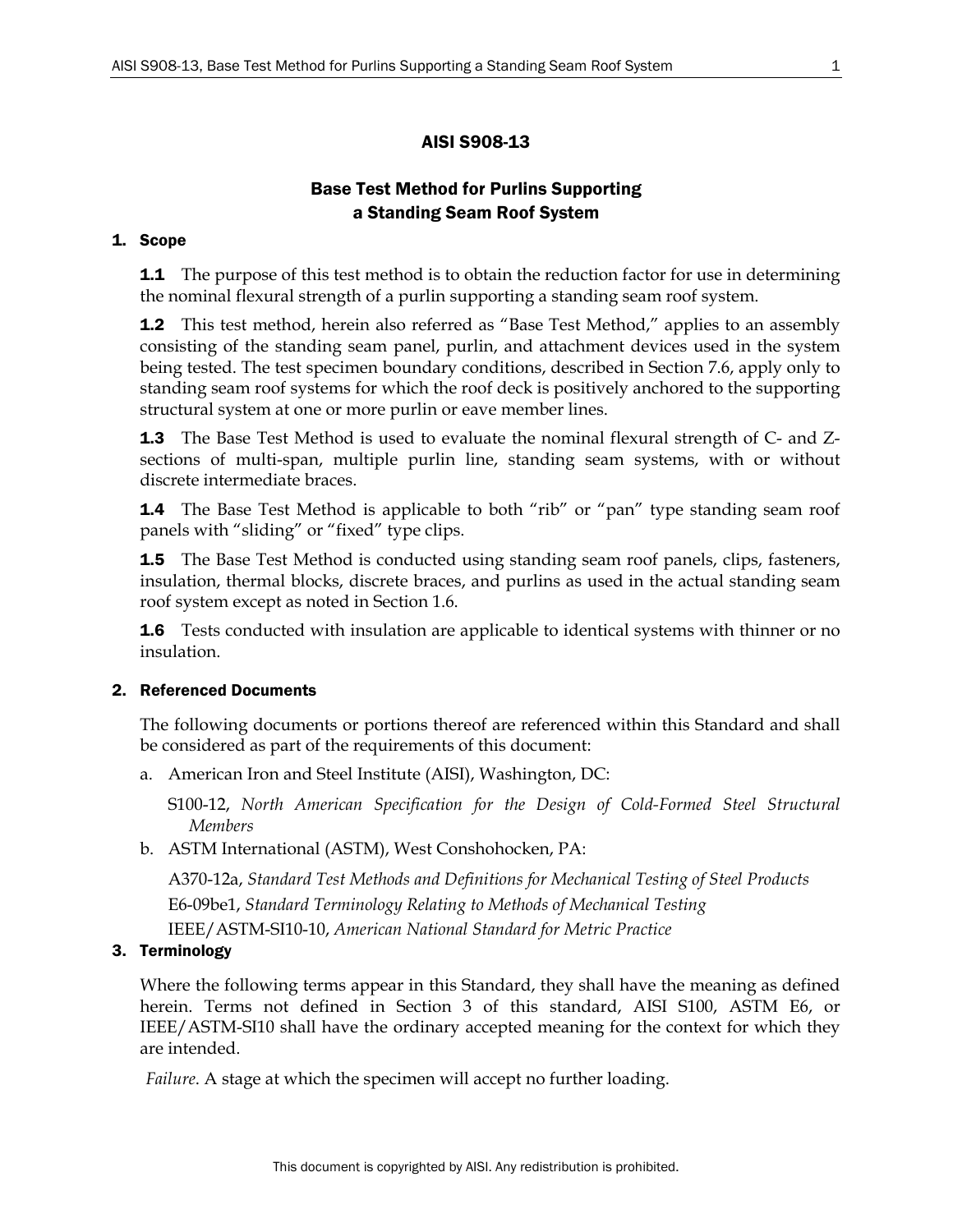#### AISI S908-13

## Base Test Method for Purlins Supporting a Standing Seam Roof System

#### 1. Scope

**1.1** The purpose of this test method is to obtain the reduction factor for use in determining the nominal flexural strength of a purlin supporting a standing seam roof system.

**1.2** This test method, herein also referred as "Base Test Method," applies to an assembly consisting of the standing seam panel, purlin, and attachment devices used in the system being tested. The test specimen boundary conditions, described in Section 7.6, apply only to standing seam roof systems for which the roof deck is positively anchored to the supporting structural system at one or more purlin or eave member lines.

**1.3** The Base Test Method is used to evaluate the nominal flexural strength of C- and Zsections of multi-span, multiple purlin line, standing seam systems, with or without discrete intermediate braces.

**1.4** The Base Test Method is applicable to both "rib" or "pan" type standing seam roof panels with "sliding" or "fixed" type clips.

**1.5** The Base Test Method is conducted using standing seam roof panels, clips, fasteners, insulation, thermal blocks, discrete braces, and purlins as used in the actual standing seam roof system except as noted in Section 1.6.

**1.6** Tests conducted with insulation are applicable to identical systems with thinner or no insulation.

#### 2. Referenced Documents

The following documents or portions thereof are referenced within this Standard and shall be considered as part of the requirements of this document:

a. American Iron and Steel Institute (AISI), Washington, DC:

 S100-12, *North American Specification for the Design of Cold-Formed Steel Structural Members*

b. ASTM International (ASTM), West Conshohocken, PA:

 A370-12a, *Standard Test Methods and Definitions for Mechanical Testing of Steel Products* E6-09be1, *Standard Terminology Relating to Methods of Mechanical Testing*

IEEE/ASTM-SI10-10, *American National Standard for Metric Practice*

## 3. Terminology

Where the following terms appear in this Standard, they shall have the meaning as defined herein. Terms not defined in Section 3 of this standard, AISI S100, ASTM E6, or IEEE/ASTM-SI10 shall have the ordinary accepted meaning for the context for which they are intended.

*Failure*. A stage at which the specimen will accept no further loading.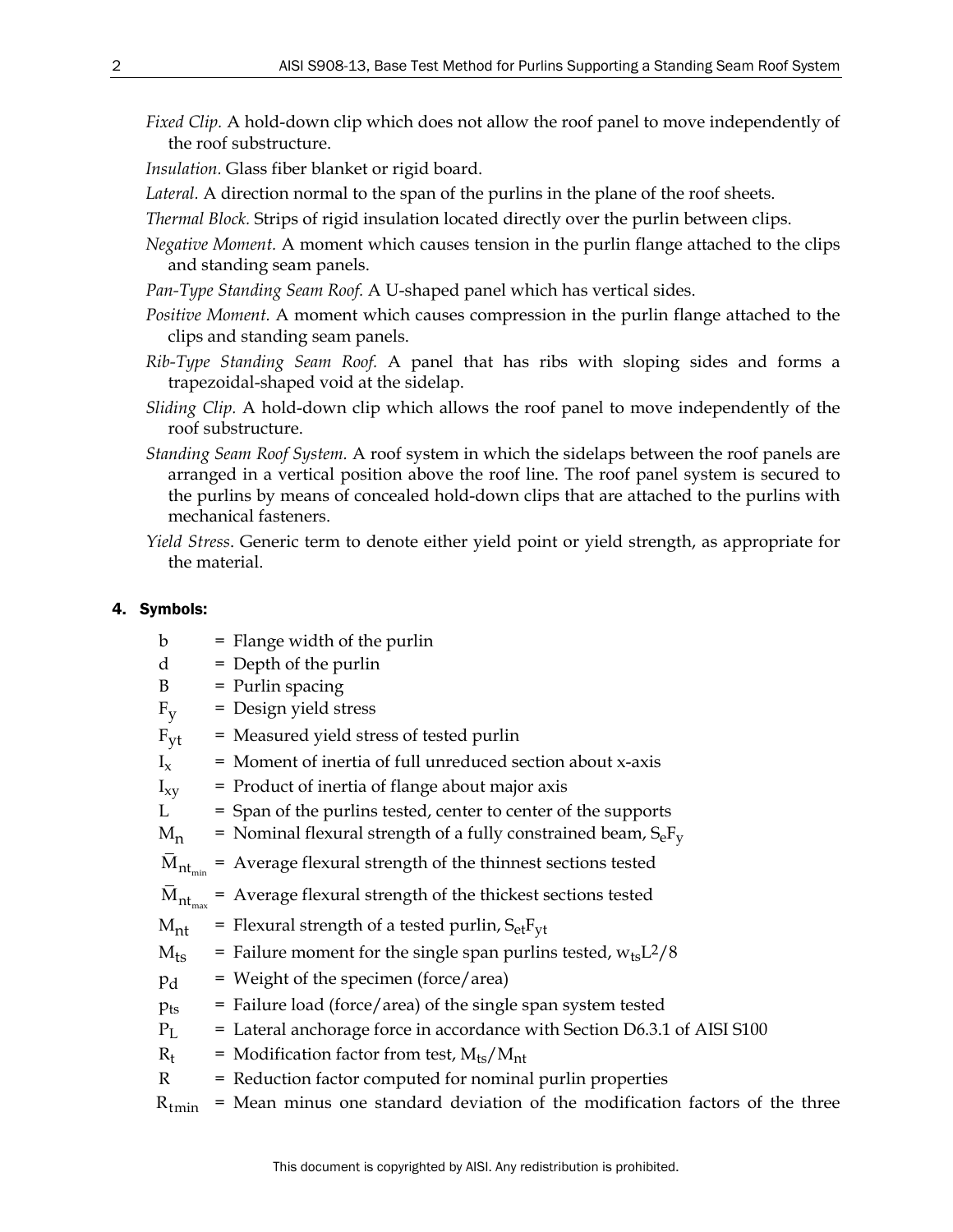- *Fixed Clip.* A hold-down clip which does not allow the roof panel to move independently of the roof substructure.
- *Insulation.* Glass fiber blanket or rigid board.
- *Lateral.* A direction normal to the span of the purlins in the plane of the roof sheets.
- *Thermal Block.* Strips of rigid insulation located directly over the purlin between clips.
- *Negative Moment.* A moment which causes tension in the purlin flange attached to the clips and standing seam panels.
- *Pan-Type Standing Seam Roof.* A U-shaped panel which has vertical sides.
- *Positive Moment.* A moment which causes compression in the purlin flange attached to the clips and standing seam panels.
- *Rib-Type Standing Seam Roof.* A panel that has ribs with sloping sides and forms a trapezoidal-shaped void at the sidelap.
- *Sliding Clip.* A hold-down clip which allows the roof panel to move independently of the roof substructure.
- *Standing Seam Roof System.* A roof system in which the sidelaps between the roof panels are arranged in a vertical position above the roof line. The roof panel system is secured to the purlins by means of concealed hold-down clips that are attached to the purlins with mechanical fasteners.
- *Yield Stress*. Generic term to denote either yield point or yield strength, as appropriate for the material.

#### 4. Symbols:

- $b =$  Flange width of the purlin
- $d = \text{Depth of the purlin}$
- $B =$  Purlin spacing
- $F_{V}$ = Design yield stress
- $F_{\text{vt}}$  = Measured yield stress of tested purlin
- $I_x$  = Moment of inertia of full unreduced section about x-axis
- $I_{xy}$  = Product of inertia of flange about major axis
- $L =$  Span of the purlins tested, center to center of the supports
- $M_{n}$ = Nominal flexural strength of a fully constrained beam,  $S_eF_v$

 $\rm M_{nt_{min}}$  =  $\rm Average$  flexural strength of the thinnest sections tested

 $\rm M_{nt_{max}}$  =  $\rm Average$  flexural strength of the thickest sections tested

 $M_{\text{nt}}$  = Flexural strength of a tested purlin,  $S_{\text{et}}F_{\text{vt}}$ 

- $M<sub>ts</sub>$  = Failure moment for the single span purlins tested,  $w<sub>ts</sub>L<sup>2</sup>/8$
- $p_d$  = Weight of the specimen (force/area)
- $p_{ts}$  = Failure load (force/area) of the single span system tested
- $P_L$  = Lateral anchorage force in accordance with Section D6.3.1 of AISI S100
- $R_{t}$ = Modification factor from test,  $M_{ts}/M_{nt}$
- R = Reduction factor computed for nominal purlin properties
- $R_{\text{tmin}}$  = Mean minus one standard deviation of the modification factors of the three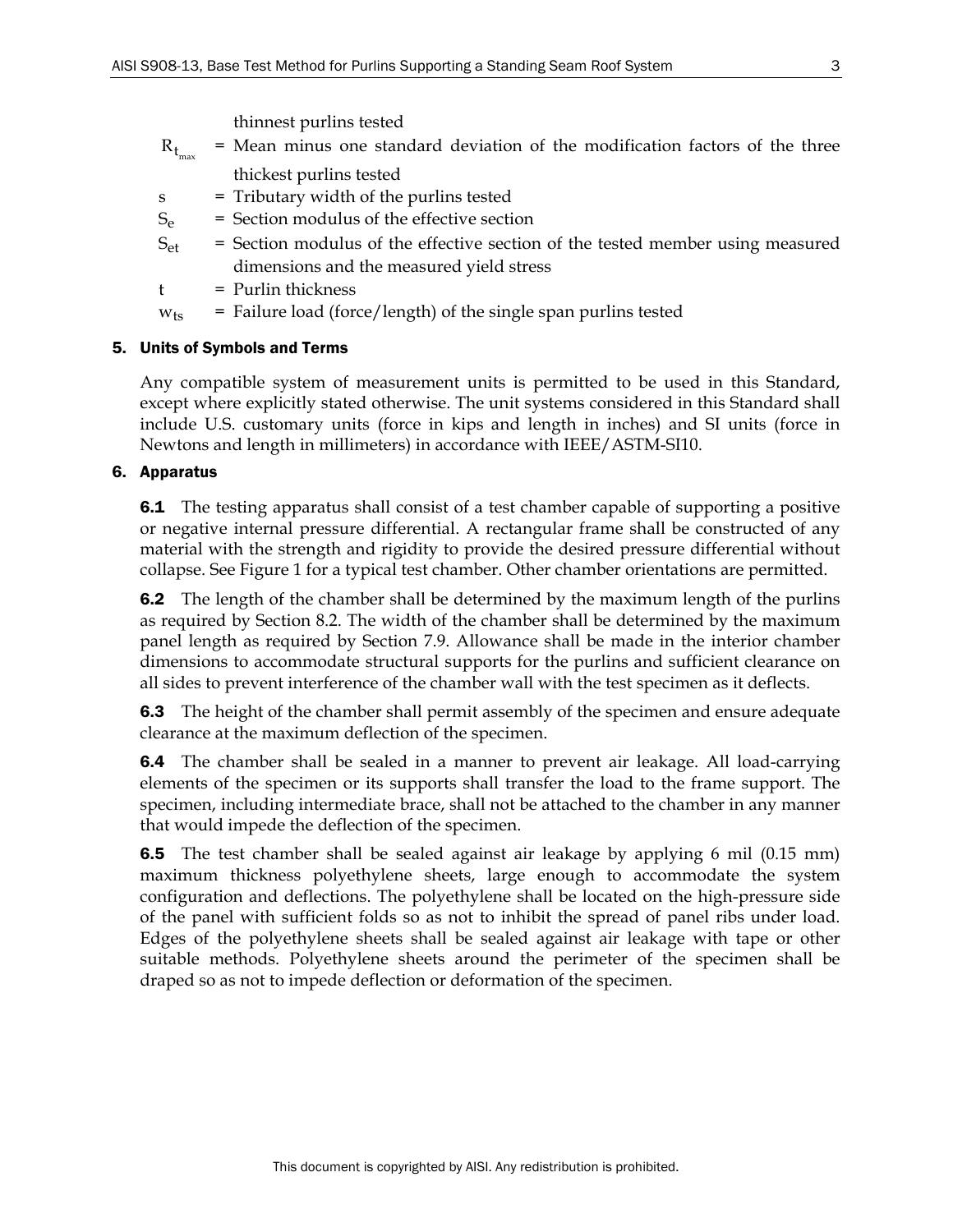thinnest purlins tested

- ${\rm R_{t_{max}}}$  = Mean minus one standard deviation of the modification factors of the three thickest purlins tested
- s = Tributary width of the purlins tested
- $S_e$  = Section modulus of the effective section
- $S_{\text{et}}$  = Section modulus of the effective section of the tested member using measured dimensions and the measured yield stress
- $t =$  Purlin thickness
- $w_{ts}$  = Failure load (force/length) of the single span purlins tested

### 5. Units of Symbols and Terms

Any compatible system of measurement units is permitted to be used in this Standard, except where explicitly stated otherwise. The unit systems considered in this Standard shall include U.S. customary units (force in kips and length in inches) and SI units (force in Newtons and length in millimeters) in accordance with IEEE/ASTM-SI10.

### 6. Apparatus

**6.1** The testing apparatus shall consist of a test chamber capable of supporting a positive or negative internal pressure differential. A rectangular frame shall be constructed of any material with the strength and rigidity to provide the desired pressure differential without collapse. See Figure 1 for a typical test chamber. Other chamber orientations are permitted.

**6.2** The length of the chamber shall be determined by the maximum length of the purlins as required by Section 8.2. The width of the chamber shall be determined by the maximum panel length as required by Section 7.9. Allowance shall be made in the interior chamber dimensions to accommodate structural supports for the purlins and sufficient clearance on all sides to prevent interference of the chamber wall with the test specimen as it deflects.

**6.3** The height of the chamber shall permit assembly of the specimen and ensure adequate clearance at the maximum deflection of the specimen.

6.4 The chamber shall be sealed in a manner to prevent air leakage. All load-carrying elements of the specimen or its supports shall transfer the load to the frame support. The specimen, including intermediate brace, shall not be attached to the chamber in any manner that would impede the deflection of the specimen.

**6.5** The test chamber shall be sealed against air leakage by applying 6 mil (0.15 mm) maximum thickness polyethylene sheets, large enough to accommodate the system configuration and deflections. The polyethylene shall be located on the high-pressure side of the panel with sufficient folds so as not to inhibit the spread of panel ribs under load. Edges of the polyethylene sheets shall be sealed against air leakage with tape or other suitable methods. Polyethylene sheets around the perimeter of the specimen shall be draped so as not to impede deflection or deformation of the specimen.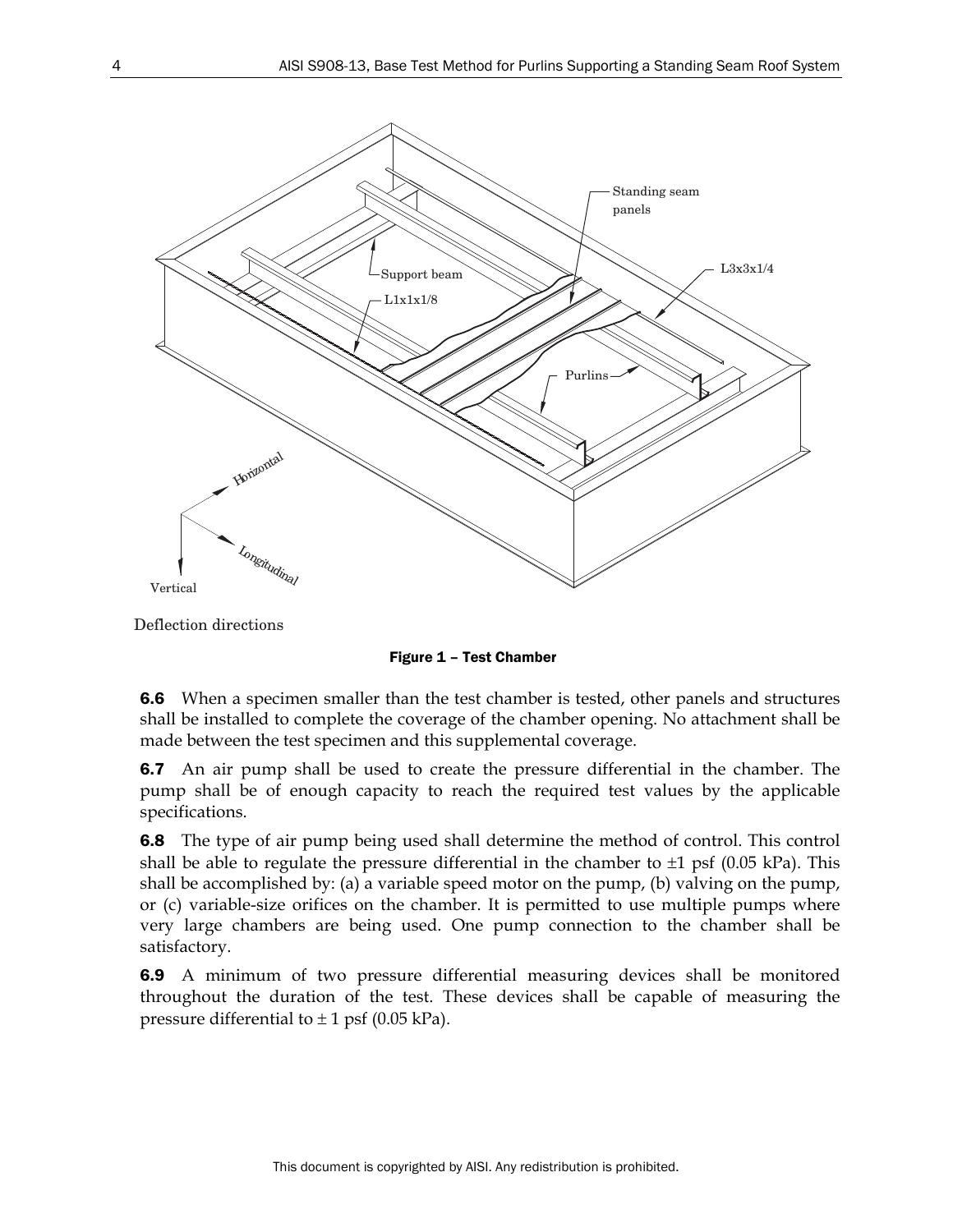

Deflection directions

#### Figure 1 – Test Chamber

**6.6** When a specimen smaller than the test chamber is tested, other panels and structures shall be installed to complete the coverage of the chamber opening. No attachment shall be made between the test specimen and this supplemental coverage.

6.7 An air pump shall be used to create the pressure differential in the chamber. The pump shall be of enough capacity to reach the required test values by the applicable specifications.

**6.8** The type of air pump being used shall determine the method of control. This control shall be able to regulate the pressure differential in the chamber to  $\pm 1$  psf (0.05 kPa). This shall be accomplished by: (a) a variable speed motor on the pump, (b) valving on the pump, or (c) variable-size orifices on the chamber. It is permitted to use multiple pumps where very large chambers are being used. One pump connection to the chamber shall be satisfactory.

6.9 A minimum of two pressure differential measuring devices shall be monitored throughout the duration of the test. These devices shall be capable of measuring the pressure differential to  $\pm$  1 psf (0.05 kPa).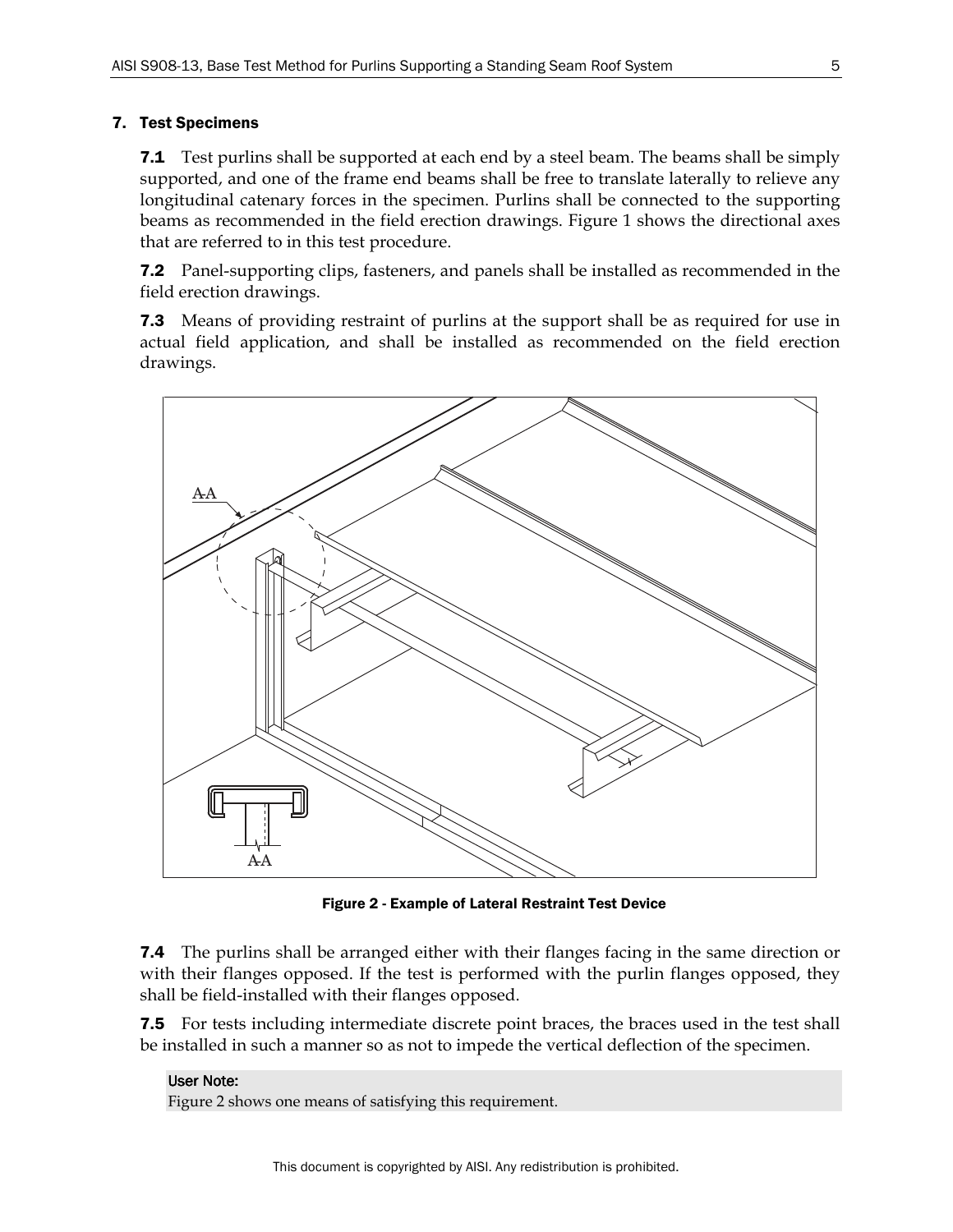#### 7. Test Specimens

**7.1** Test purlins shall be supported at each end by a steel beam. The beams shall be simply supported, and one of the frame end beams shall be free to translate laterally to relieve any longitudinal catenary forces in the specimen. Purlins shall be connected to the supporting beams as recommended in the field erection drawings. Figure 1 shows the directional axes that are referred to in this test procedure.

7.2 Panel-supporting clips, fasteners, and panels shall be installed as recommended in the field erection drawings.

**7.3** Means of providing restraint of purlins at the support shall be as required for use in actual field application, and shall be installed as recommended on the field erection drawings.



Figure 2 - Example of Lateral Restraint Test Device

**7.4** The purlins shall be arranged either with their flanges facing in the same direction or with their flanges opposed. If the test is performed with the purlin flanges opposed, they shall be field-installed with their flanges opposed.

**7.5** For tests including intermediate discrete point braces, the braces used in the test shall be installed in such a manner so as not to impede the vertical deflection of the specimen.

**User Note:** 

Figure 2 shows one means of satisfying this requirement.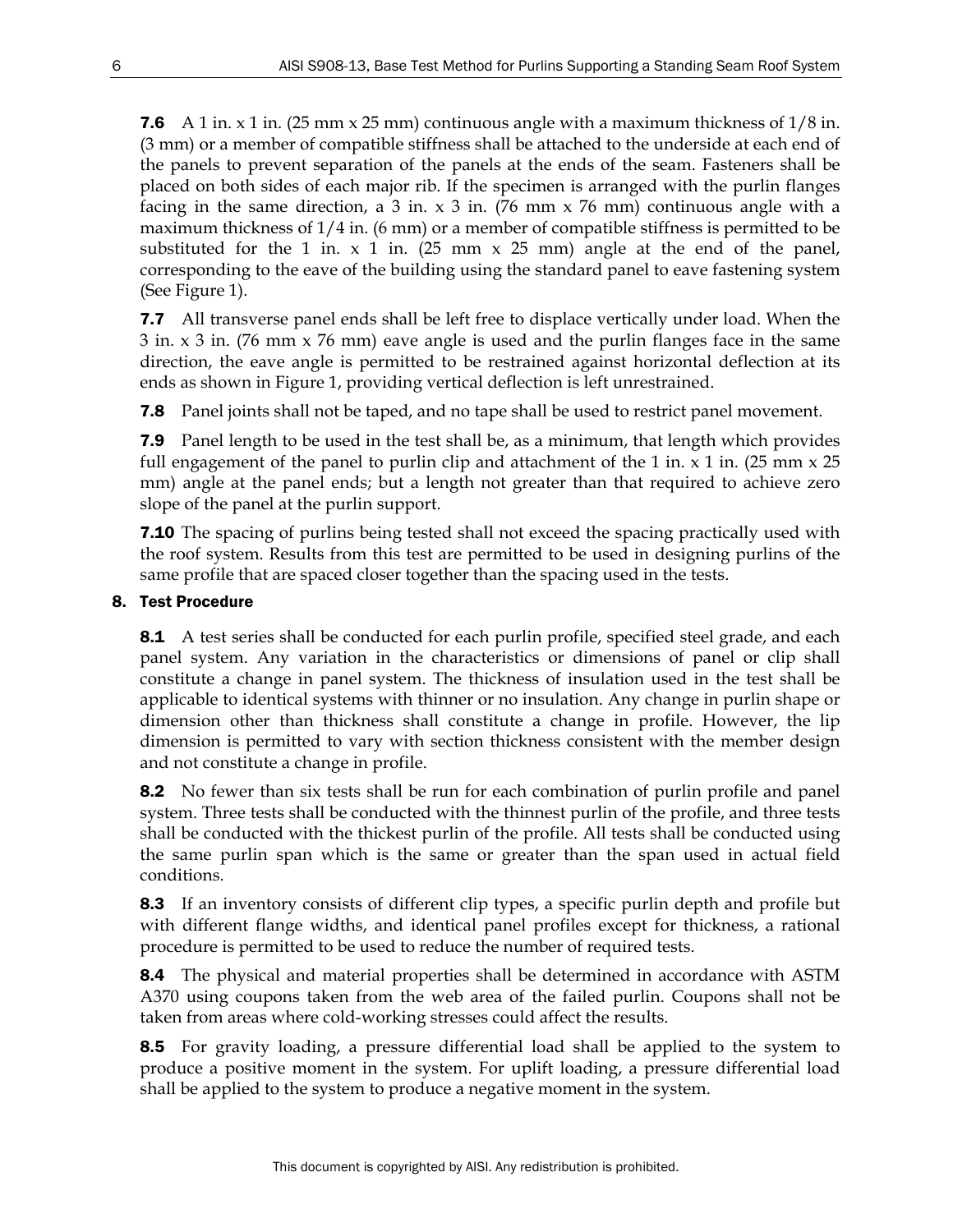**7.6** A 1 in. x 1 in. (25 mm x 25 mm) continuous angle with a maximum thickness of  $1/8$  in. (3 mm) or a member of compatible stiffness shall be attached to the underside at each end of the panels to prevent separation of the panels at the ends of the seam. Fasteners shall be placed on both sides of each major rib. If the specimen is arranged with the purlin flanges facing in the same direction, a 3 in. x 3 in. (76 mm x 76 mm) continuous angle with a maximum thickness of 1/4 in. (6 mm) or a member of compatible stiffness is permitted to be substituted for the 1 in.  $x$  1 in. (25 mm  $x$  25 mm) angle at the end of the panel, corresponding to the eave of the building using the standard panel to eave fastening system (See Figure 1).

**7.7** All transverse panel ends shall be left free to displace vertically under load. When the 3 in. x 3 in. (76 mm x 76 mm) eave angle is used and the purlin flanges face in the same direction, the eave angle is permitted to be restrained against horizontal deflection at its ends as shown in Figure 1, providing vertical deflection is left unrestrained.

**7.8** Panel joints shall not be taped, and no tape shall be used to restrict panel movement.

**7.9** Panel length to be used in the test shall be, as a minimum, that length which provides full engagement of the panel to purlin clip and attachment of the 1 in.  $x$  1 in. (25 mm  $x$  25 mm) angle at the panel ends; but a length not greater than that required to achieve zero slope of the panel at the purlin support.

**7.10** The spacing of purlins being tested shall not exceed the spacing practically used with the roof system. Results from this test are permitted to be used in designing purlins of the same profile that are spaced closer together than the spacing used in the tests.

## 8. Test Procedure

**8.1** A test series shall be conducted for each purlin profile, specified steel grade, and each panel system. Any variation in the characteristics or dimensions of panel or clip shall constitute a change in panel system. The thickness of insulation used in the test shall be applicable to identical systems with thinner or no insulation. Any change in purlin shape or dimension other than thickness shall constitute a change in profile. However, the lip dimension is permitted to vary with section thickness consistent with the member design and not constitute a change in profile.

**8.2** No fewer than six tests shall be run for each combination of purlin profile and panel system. Three tests shall be conducted with the thinnest purlin of the profile, and three tests shall be conducted with the thickest purlin of the profile. All tests shall be conducted using the same purlin span which is the same or greater than the span used in actual field conditions.

**8.3** If an inventory consists of different clip types, a specific purlin depth and profile but with different flange widths, and identical panel profiles except for thickness, a rational procedure is permitted to be used to reduce the number of required tests.

**8.4** The physical and material properties shall be determined in accordance with ASTM A370 using coupons taken from the web area of the failed purlin. Coupons shall not be taken from areas where cold-working stresses could affect the results.

**8.5** For gravity loading, a pressure differential load shall be applied to the system to produce a positive moment in the system. For uplift loading, a pressure differential load shall be applied to the system to produce a negative moment in the system.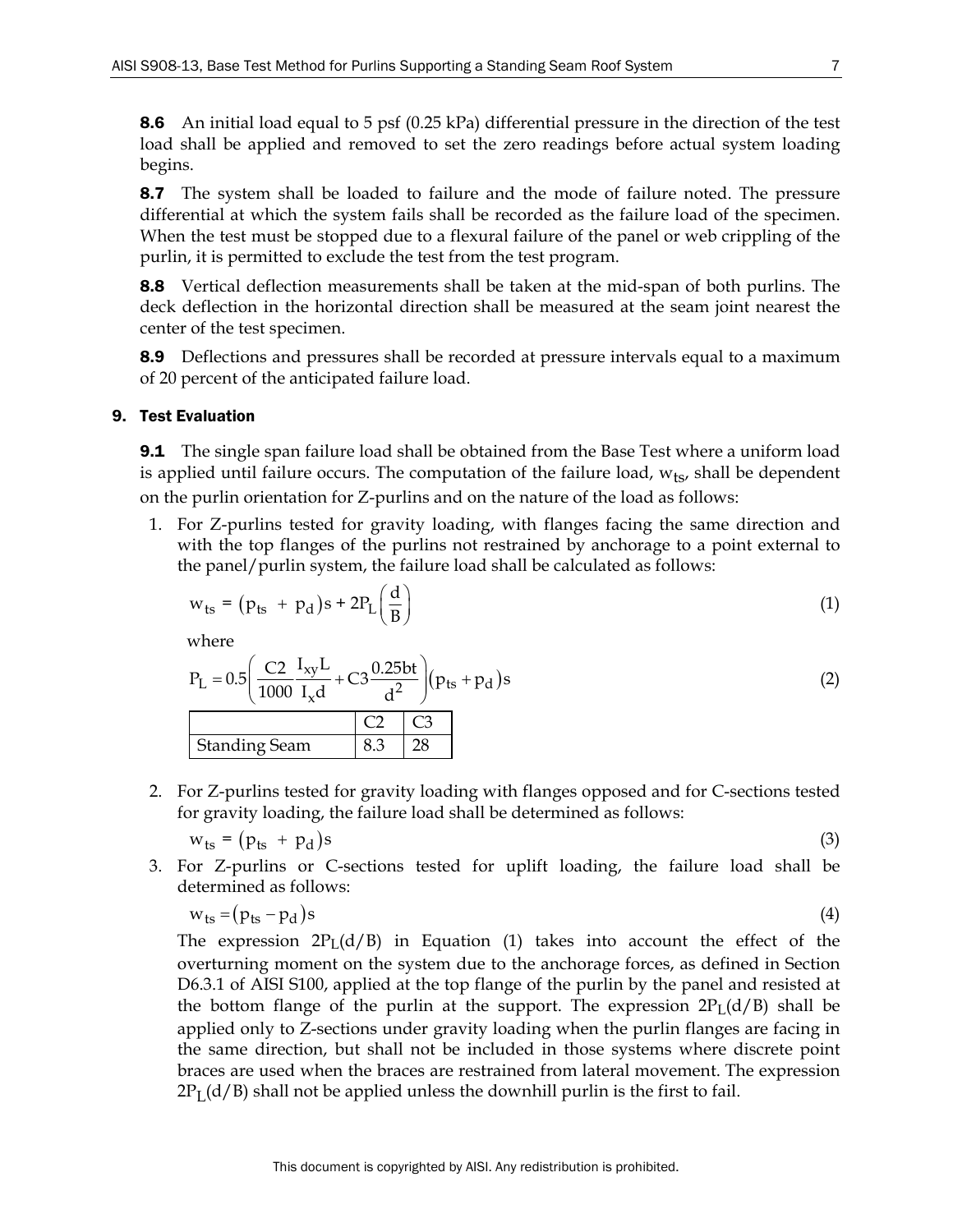**8.6** An initial load equal to 5 psf (0.25 kPa) differential pressure in the direction of the test load shall be applied and removed to set the zero readings before actual system loading begins.

**8.7** The system shall be loaded to failure and the mode of failure noted. The pressure differential at which the system fails shall be recorded as the failure load of the specimen. When the test must be stopped due to a flexural failure of the panel or web crippling of the purlin, it is permitted to exclude the test from the test program.

**8.8** Vertical deflection measurements shall be taken at the mid-span of both purlins. The deck deflection in the horizontal direction shall be measured at the seam joint nearest the center of the test specimen.

**8.9** Deflections and pressures shall be recorded at pressure intervals equal to a maximum of 20 percent of the anticipated failure load.

#### 9. Test Evaluation

**9.1** The single span failure load shall be obtained from the Base Test where a uniform load is applied until failure occurs. The computation of the failure load,  $w_{ts}$ , shall be dependent on the purlin orientation for Z-purlins and on the nature of the load as follows:

1. For Z-purlins tested for gravity loading, with flanges facing the same direction and with the top flanges of the purlins not restrained by anchorage to a point external to the panel/purlin system, the failure load shall be calculated as follows:

$$
w_{ts} = (p_{ts} + p_d)s + 2P_L\left(\frac{d}{B}\right)
$$
 (1)

where

$$
P_{L} = 0.5 \left( \frac{C2}{1000} \frac{I_{xy}L}{I_{x}d} + C3 \frac{0.25bt}{d^{2}} \right) (p_{ts} + p_{d})s
$$
\n
$$
C2 \quad C3
$$
\nStanding Sean

\n
$$
8.3 \quad 28
$$
\n(2)

2. For Z-purlins tested for gravity loading with flanges opposed and for C-sections tested for gravity loading, the failure load shall be determined as follows:

$$
w_{ts} = (p_{ts} + p_d)s \tag{3}
$$

3. For Z-purlins or C-sections tested for uplift loading, the failure load shall be determined as follows:

$$
w_{ts} = (p_{ts} - p_d)s
$$
 (4)

The expression  $2P_L(d/B)$  in Equation (1) takes into account the effect of the overturning moment on the system due to the anchorage forces, as defined in Section D6.3.1 of AISI S100, applied at the top flange of the purlin by the panel and resisted at the bottom flange of the purlin at the support. The expression  $2P_L(d/B)$  shall be applied only to Z-sections under gravity loading when the purlin flanges are facing in the same direction, but shall not be included in those systems where discrete point braces are used when the braces are restrained from lateral movement. The expression  $2P_L(d/B)$  shall not be applied unless the downhill purlin is the first to fail.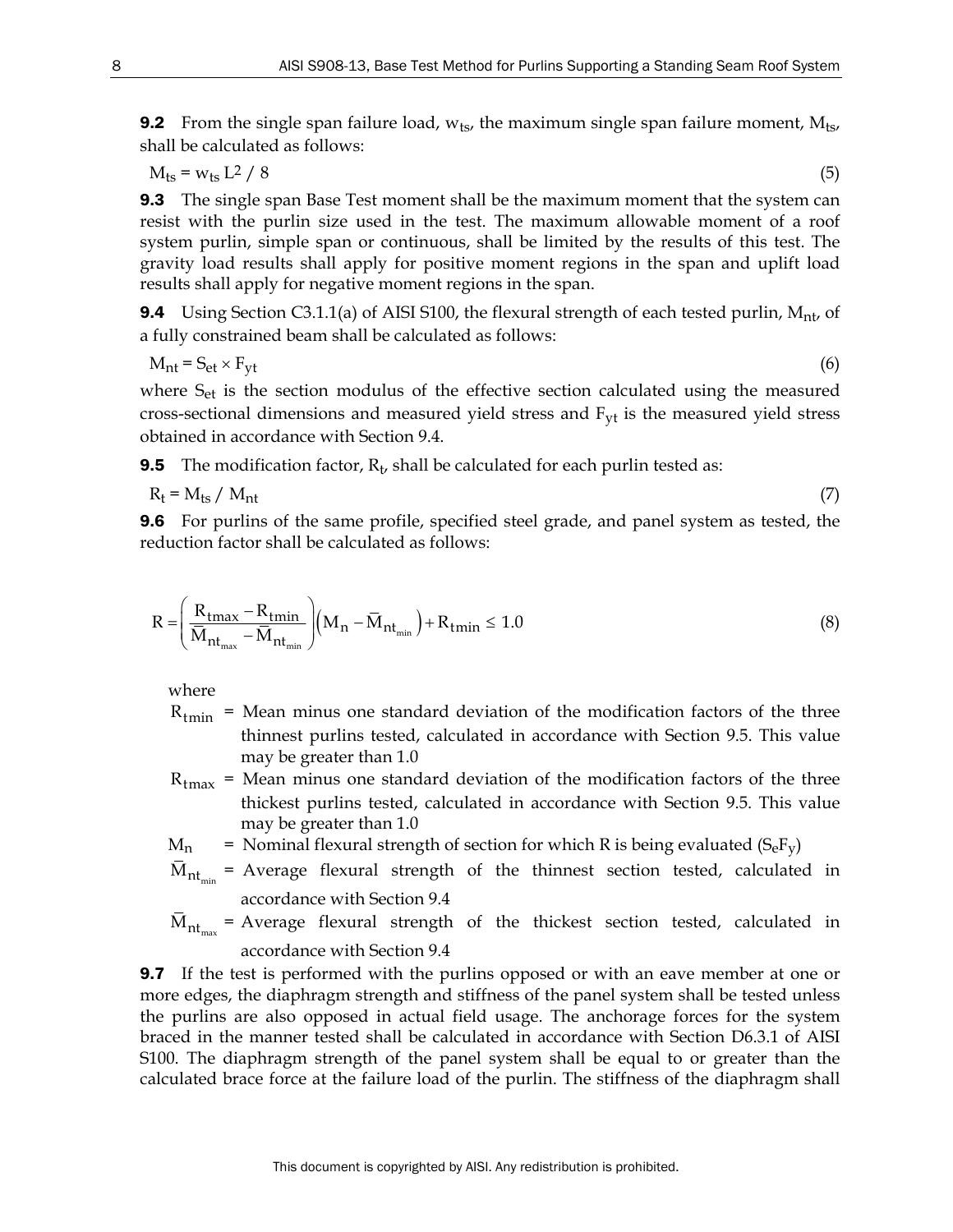**9.2** From the single span failure load,  $w_{ts}$ , the maximum single span failure moment,  $M_{ts}$ , shall be calculated as follows:

$$
M_{\text{ts}} = w_{\text{ts}} L^2 / 8 \tag{5}
$$

**9.3** The single span Base Test moment shall be the maximum moment that the system can resist with the purlin size used in the test. The maximum allowable moment of a roof system purlin, simple span or continuous, shall be limited by the results of this test. The gravity load results shall apply for positive moment regions in the span and uplift load results shall apply for negative moment regions in the span.

**9.4** Using Section C3.1.1(a) of AISI S100, the flexural strength of each tested purlin,  $M_{nt}$  of a fully constrained beam shall be calculated as follows:

$$
M_{nt} = S_{et} \times F_{yt}
$$
 (6)

where  $S_{et}$  is the section modulus of the effective section calculated using the measured cross-sectional dimensions and measured yield stress and  $F_{vt}$  is the measured yield stress obtained in accordance with Section 9.4.

**9.5** The modification factor,  $R_t$ , shall be calculated for each purlin tested as:

$$
R_t = M_{ts} / M_{nt} \tag{7}
$$

**9.6** For purlins of the same profile, specified steel grade, and panel system as tested, the reduction factor shall be calculated as follows:

$$
R = \left(\frac{R_{tmax} - R_{tmin}}{\overline{M}_{nt_{max}} - \overline{M}_{nt_{min}}}\right) (M_n - \overline{M}_{nt_{min}}) + R_{tmin} \le 1.0
$$
\n(8)

where

- $R_{\text{tmin}}$  = Mean minus one standard deviation of the modification factors of the three thinnest purlins tested, calculated in accordance with Section 9.5. This value may be greater than 1.0
- $R_{tmax}$  = Mean minus one standard deviation of the modification factors of the three thickest purlins tested, calculated in accordance with Section 9.5. This value may be greater than 1.0

 $M_n$  = Nominal flexural strength of section for which R is being evaluated (S<sub>e</sub>F<sub>y</sub>)

- $\rm M_{nt_{min}}$  = Average flexural strength of the thinnest section tested, calculated in accordance with Section 9.4
- $M_{nt_{max}}$  = Average flexural strength of the thickest section tested, calculated in accordance with Section 9.4

**9.7** If the test is performed with the purlins opposed or with an eave member at one or more edges, the diaphragm strength and stiffness of the panel system shall be tested unless the purlins are also opposed in actual field usage. The anchorage forces for the system braced in the manner tested shall be calculated in accordance with Section D6.3.1 of AISI S100. The diaphragm strength of the panel system shall be equal to or greater than the calculated brace force at the failure load of the purlin. The stiffness of the diaphragm shall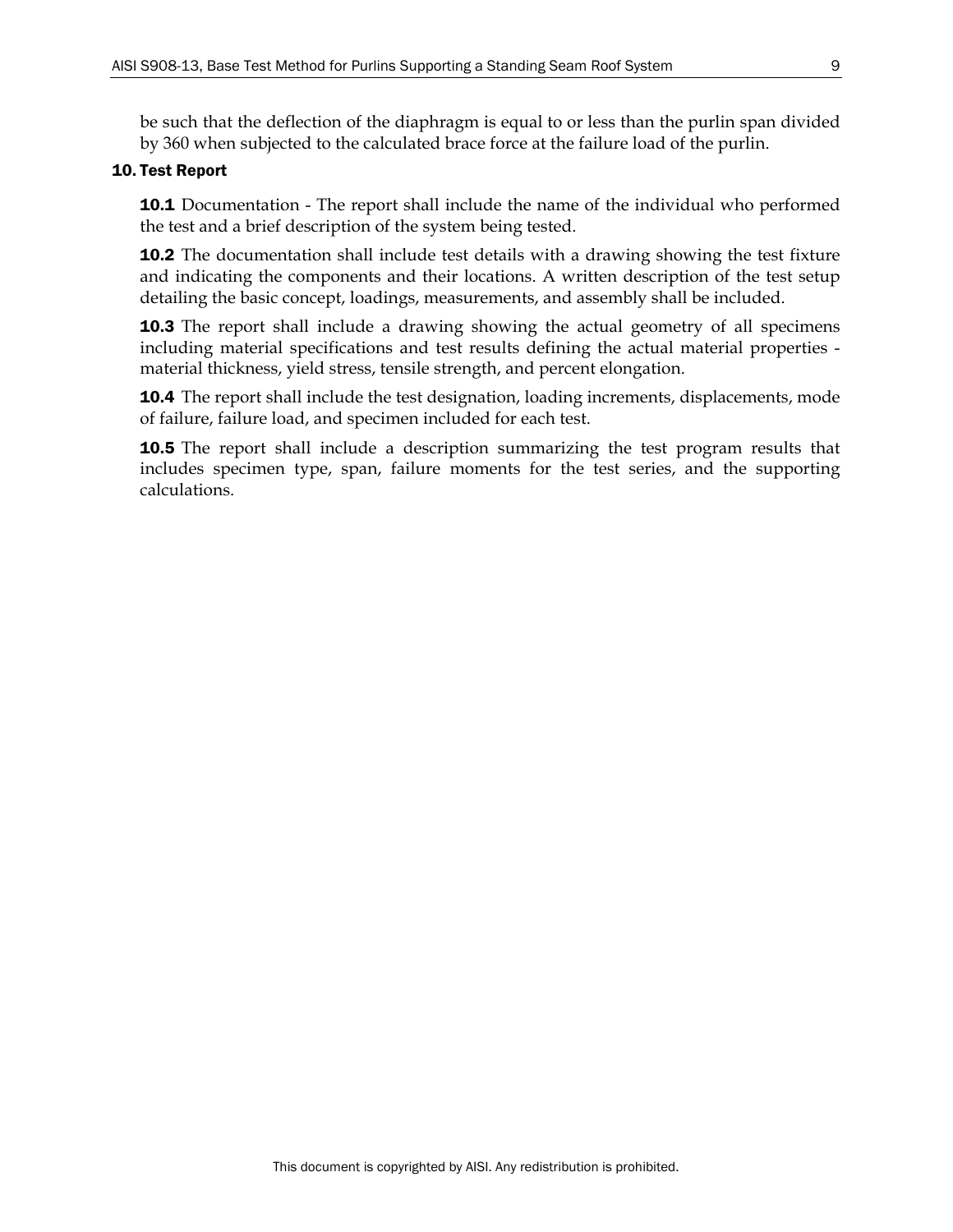be such that the deflection of the diaphragm is equal to or less than the purlin span divided by 360 when subjected to the calculated brace force at the failure load of the purlin.

#### 10. Test Report

**10.1** Documentation - The report shall include the name of the individual who performed the test and a brief description of the system being tested.

**10.2** The documentation shall include test details with a drawing showing the test fixture and indicating the components and their locations. A written description of the test setup detailing the basic concept, loadings, measurements, and assembly shall be included.

**10.3** The report shall include a drawing showing the actual geometry of all specimens including material specifications and test results defining the actual material properties material thickness, yield stress, tensile strength, and percent elongation.

**10.4** The report shall include the test designation, loading increments, displacements, mode of failure, failure load, and specimen included for each test.

**10.5** The report shall include a description summarizing the test program results that includes specimen type, span, failure moments for the test series, and the supporting calculations.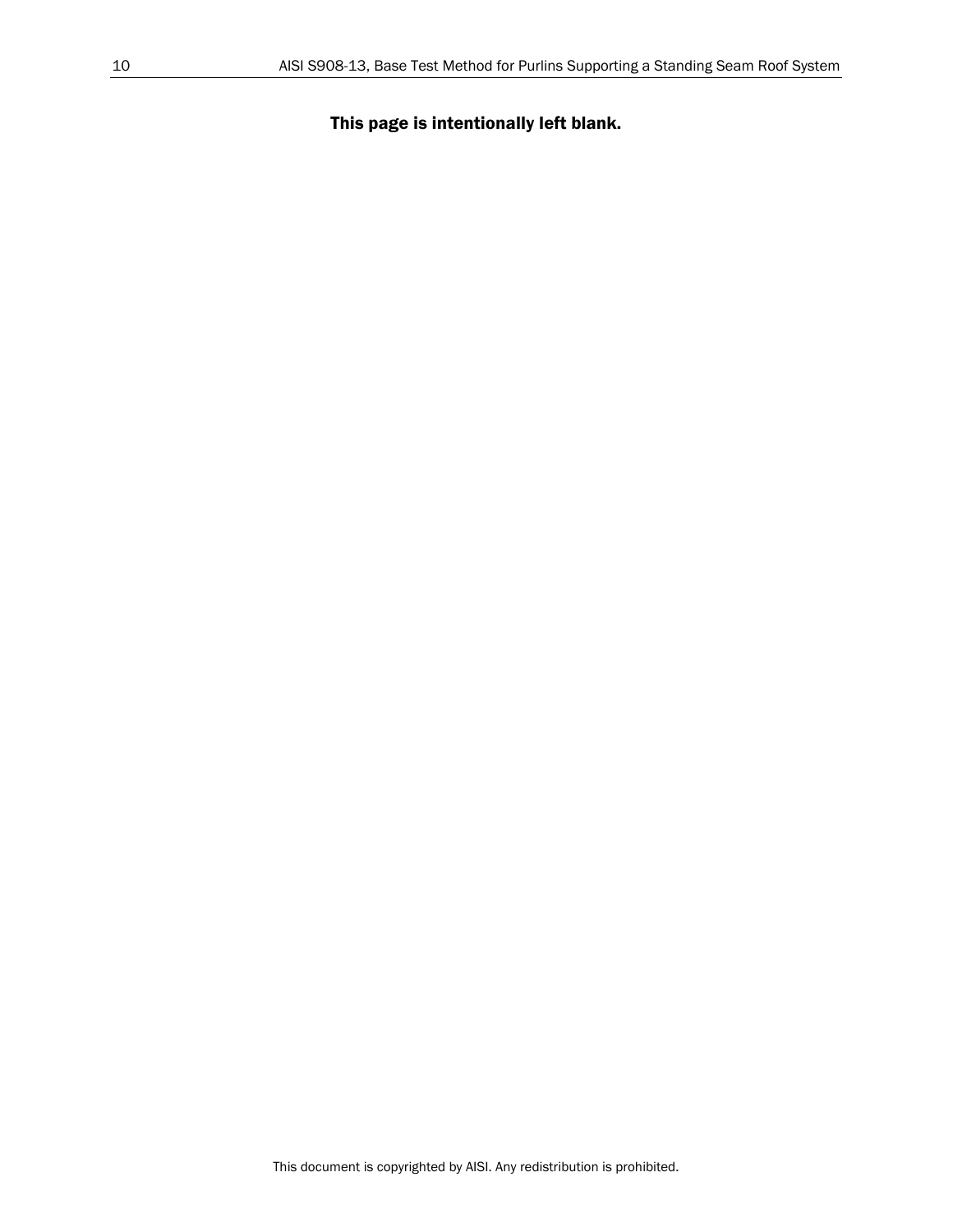This page is intentionally left blank.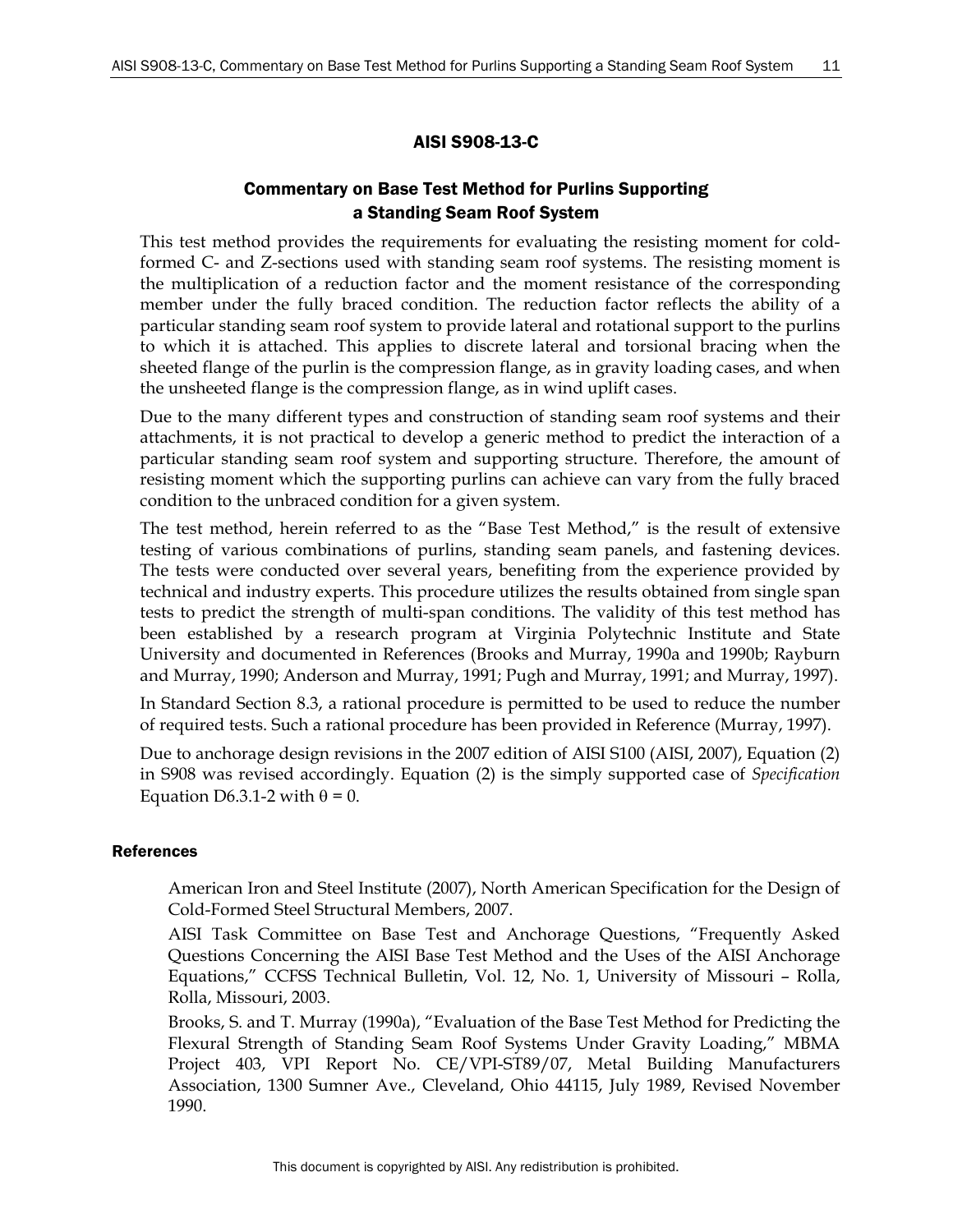### AISI S908-13-C

## Commentary on Base Test Method for Purlins Supporting a Standing Seam Roof System

This test method provides the requirements for evaluating the resisting moment for coldformed C- and Z-sections used with standing seam roof systems. The resisting moment is the multiplication of a reduction factor and the moment resistance of the corresponding member under the fully braced condition. The reduction factor reflects the ability of a particular standing seam roof system to provide lateral and rotational support to the purlins to which it is attached. This applies to discrete lateral and torsional bracing when the sheeted flange of the purlin is the compression flange, as in gravity loading cases, and when the unsheeted flange is the compression flange, as in wind uplift cases.

Due to the many different types and construction of standing seam roof systems and their attachments, it is not practical to develop a generic method to predict the interaction of a particular standing seam roof system and supporting structure. Therefore, the amount of resisting moment which the supporting purlins can achieve can vary from the fully braced condition to the unbraced condition for a given system.

The test method, herein referred to as the "Base Test Method," is the result of extensive testing of various combinations of purlins, standing seam panels, and fastening devices. The tests were conducted over several years, benefiting from the experience provided by technical and industry experts. This procedure utilizes the results obtained from single span tests to predict the strength of multi-span conditions. The validity of this test method has been established by a research program at Virginia Polytechnic Institute and State University and documented in References (Brooks and Murray, 1990a and 1990b; Rayburn and Murray, 1990; Anderson and Murray, 1991; Pugh and Murray, 1991; and Murray, 1997).

In Standard Section 8.3, a rational procedure is permitted to be used to reduce the number of required tests. Such a rational procedure has been provided in Reference (Murray, 1997).

Due to anchorage design revisions in the 2007 edition of AISI S100 (AISI, 2007), Equation (2) in S908 was revised accordingly. Equation (2) is the simply supported case of *Specification* Equation D6.3.1-2 with  $\theta = 0$ .

#### References

 American Iron and Steel Institute (2007), North American Specification for the Design of Cold-Formed Steel Structural Members, 2007.

 AISI Task Committee on Base Test and Anchorage Questions, "Frequently Asked Questions Concerning the AISI Base Test Method and the Uses of the AISI Anchorage Equations," CCFSS Technical Bulletin, Vol. 12, No. 1, University of Missouri – Rolla, Rolla, Missouri, 2003.

 Brooks, S. and T. Murray (1990a), "Evaluation of the Base Test Method for Predicting the Flexural Strength of Standing Seam Roof Systems Under Gravity Loading," MBMA Project 403, VPI Report No. CE/VPI-ST89/07, Metal Building Manufacturers Association, 1300 Sumner Ave., Cleveland, Ohio 44115, July 1989, Revised November 1990.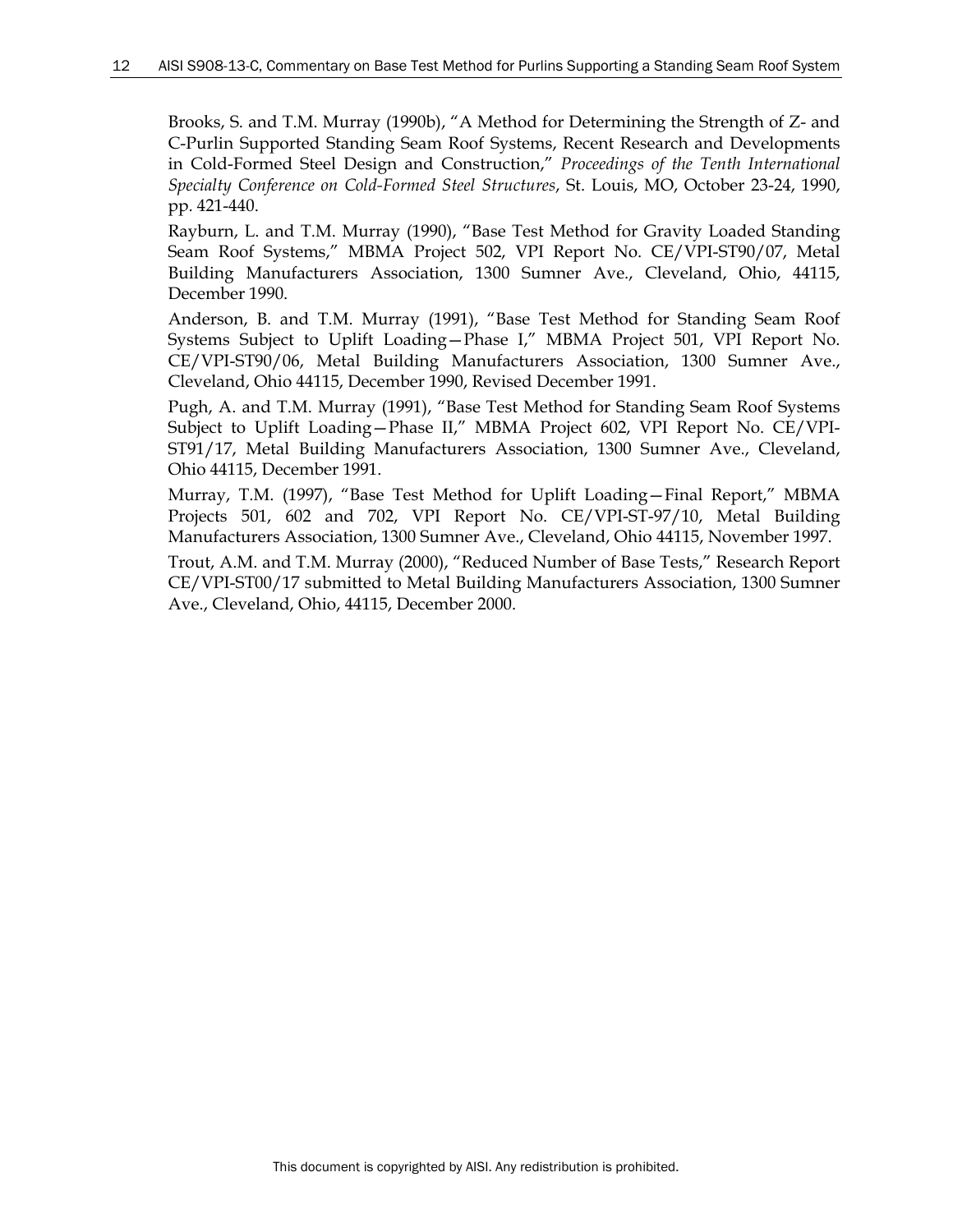Brooks, S. and T.M. Murray (1990b), "A Method for Determining the Strength of Z- and C-Purlin Supported Standing Seam Roof Systems, Recent Research and Developments in Cold-Formed Steel Design and Construction," *Proceedings of the Tenth International Specialty Conference on Cold-Formed Steel Structures*, St. Louis, MO, October 23-24, 1990, pp. 421-440.

 Rayburn, L. and T.M. Murray (1990), "Base Test Method for Gravity Loaded Standing Seam Roof Systems," MBMA Project 502, VPI Report No. CE/VPI-ST90/07, Metal Building Manufacturers Association, 1300 Sumner Ave., Cleveland, Ohio, 44115, December 1990.

 Anderson, B. and T.M. Murray (1991), "Base Test Method for Standing Seam Roof Systems Subject to Uplift Loading—Phase I," MBMA Project 501, VPI Report No. CE/VPI-ST90/06, Metal Building Manufacturers Association, 1300 Sumner Ave., Cleveland, Ohio 44115, December 1990, Revised December 1991.

 Pugh, A. and T.M. Murray (1991), "Base Test Method for Standing Seam Roof Systems Subject to Uplift Loading—Phase II," MBMA Project 602, VPI Report No. CE/VPI-ST91/17, Metal Building Manufacturers Association, 1300 Sumner Ave., Cleveland, Ohio 44115, December 1991.

 Murray, T.M. (1997), "Base Test Method for Uplift Loading—Final Report," MBMA Projects 501, 602 and 702, VPI Report No. CE/VPI-ST-97/10, Metal Building Manufacturers Association, 1300 Sumner Ave., Cleveland, Ohio 44115, November 1997.

 Trout, A.M. and T.M. Murray (2000), "Reduced Number of Base Tests," Research Report CE/VPI-ST00/17 submitted to Metal Building Manufacturers Association, 1300 Sumner Ave., Cleveland, Ohio, 44115, December 2000.